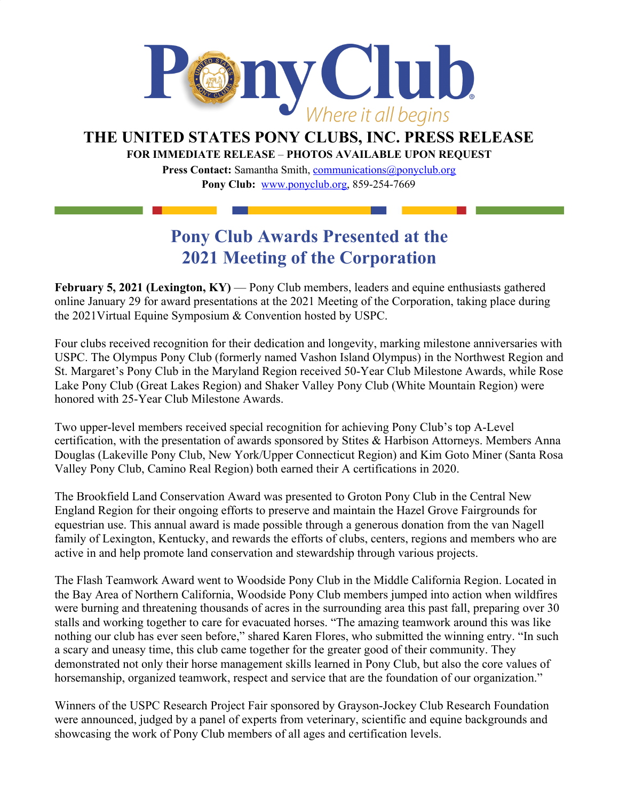

## **THE UNITED STATES PONY CLUBS, INC. PRESS RELEASE**

**FOR IMMEDIATE RELEASE** – **PHOTOS AVAILABLE UPON REQUEST**

**Press Contact:** Samantha Smith, [communications@ponyclub.org](mailto:communications@ponyclub.org) **Pony Club:** [www.ponyclub.org,](http://www.ponyclub.org/) 859-254-7669

## **Pony Club Awards Presented at the 2021 Meeting of the Corporation**

**February 5, 2021 (Lexington, KY) — Pony Club members, leaders and equine enthusiasts gathered** online January 29 for award presentations at the 2021 Meeting of the Corporation, taking place during the 2021Virtual Equine Symposium & Convention hosted by USPC.

Four clubs received recognition for their dedication and longevity, marking milestone anniversaries with USPC. The Olympus Pony Club (formerly named Vashon Island Olympus) in the Northwest Region and St. Margaret's Pony Club in the Maryland Region received 50-Year Club Milestone Awards, while Rose Lake Pony Club (Great Lakes Region) and Shaker Valley Pony Club (White Mountain Region) were honored with 25-Year Club Milestone Awards.

Two upper-level members received special recognition for achieving Pony Club's top A-Level certification, with the presentation of awards sponsored by Stites & Harbison Attorneys. Members Anna Douglas (Lakeville Pony Club, New York/Upper Connecticut Region) and Kim Goto Miner (Santa Rosa Valley Pony Club, Camino Real Region) both earned their A certifications in 2020.

The Brookfield Land Conservation Award was presented to Groton Pony Club in the Central New England Region for their ongoing efforts to preserve and maintain the Hazel Grove Fairgrounds for equestrian use. This annual award is made possible through a generous donation from the van Nagell family of Lexington, Kentucky, and rewards the efforts of clubs, centers, regions and members who are active in and help promote land conservation and stewardship through various projects.

The Flash Teamwork Award went to Woodside Pony Club in the Middle California Region. Located in the Bay Area of Northern California, Woodside Pony Club members jumped into action when wildfires were burning and threatening thousands of acres in the surrounding area this past fall, preparing over 30 stalls and working together to care for evacuated horses. "The amazing teamwork around this was like nothing our club has ever seen before," shared Karen Flores, who submitted the winning entry. "In such a scary and uneasy time, this club came together for the greater good of their community. They demonstrated not only their horse management skills learned in Pony Club, but also the core values of horsemanship, organized teamwork, respect and service that are the foundation of our organization."

Winners of the USPC Research Project Fair sponsored by Grayson-Jockey Club Research Foundation were announced, judged by a panel of experts from veterinary, scientific and equine backgrounds and showcasing the work of Pony Club members of all ages and certification levels.